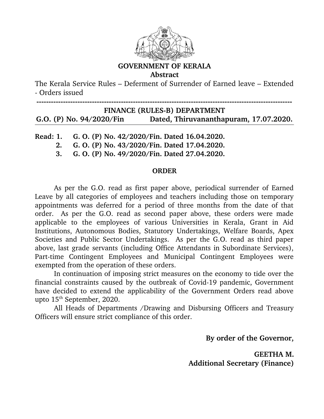

## **GOVERNMENT OF KERALA**

**Abstract**

The Kerala Service Rules – Deferment of Surrender of Earned leave – Extended Orders issued

**FINANCE (RULES-B) DEPARTMENT G.O. (P) No. 94/2020/Fin Dated, Thiruvananthapuram, 17.07.2020.**

**Read: 1. G. O. (P) No. 42/2020/Fin. Dated 16.04.2020.**

 **2. G. O. (P) No. 43/2020/Fin. Dated 17.04.2020.**

 **3. G. O. (P) No. 49/2020/Fin. Dated 27.04.2020.**

## **ORDER**

 As per the G.O. read as first paper above, periodical surrender of Earned Leave by all categories of employees and teachers including those on temporary appointments was deferred for a period of three months from the date of that order. As per the G.O. read as second paper above, these orders were made applicable to the employees of various Universities in Kerala, Grant in Aid Institutions, Autonomous Bodies, Statutory Undertakings, Welfare Boards, Apex Societies and Public Sector Undertakings. As per the G.O. read as third paper above, last grade servants (including Office Attendants in Subordinate Services), Part-time Contingent Employees and Municipal Contingent Employees were exempted from the operation of these orders.

In continuation of imposing strict measures on the economy to tide over the financial constraints caused by the outbreak of Covid-19 pandemic, Government have decided to extend the applicability of the Government Orders read above upto  $15<sup>th</sup>$  September, 2020.

All Heads of Departments /Drawing and Disbursing Officers and Treasury Officers will ensure strict compliance of this order.

 **By order of the Governor,**

**GEETHA M. Additional Secretary (Finance)**